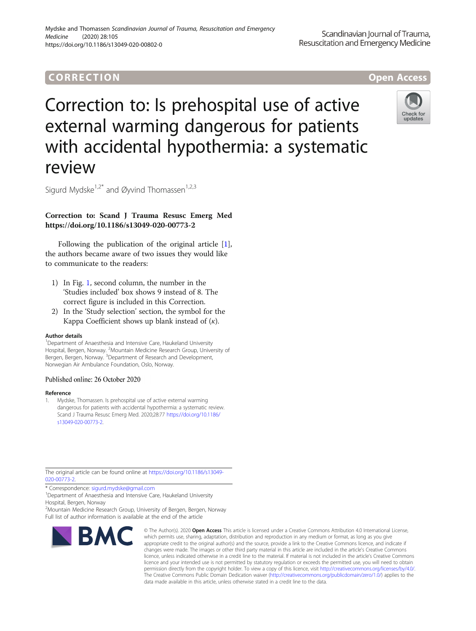# CORR EC TION Open [Access](http://crossmark.crossref.org/dialog/?doi=10.1186/s13049-020-00802-0&domain=pdf)

# Correction to: Is prehospital use of active external warming dangerous for patients with accidental hypothermia: a systematic review



Sigurd Mydske<sup>1,2\*</sup> and Øyvind Thomassen<sup>1,2,3</sup>

# Correction to: Scand J Trauma Resusc Emerg Med https://doi.org/10.1186/s13049-020-00773-2

Following the publication of the original article [1], the authors became aware of two issues they would like to communicate to the readers:

- 1) In Fig. [1,](#page-1-0) second column, the number in the 'Studies included' box shows 9 instead of 8. The correct figure is included in this Correction.
- 2) In the 'Study selection' section, the symbol for the Kappa Coefficient shows up blank instead of  $(\kappa)$ .

### Author details

<sup>1</sup>Department of Anaesthesia and Intensive Care, Haukeland University Hospital, Bergen, Norway. <sup>2</sup>Mountain Medicine Research Group, University of<br>Bergen, Bergen, Norway. <sup>3</sup>Department of Research and Development, Norwegian Air Ambulance Foundation, Oslo, Norway.

## Published online: 26 October 2020

### Reference

1. Mydske, Thomassen. Is prehospital use of active external warming dangerous for patients with accidental hypothermia: a systematic review. Scand J Trauma Resusc Emerg Med. 2020;28:77 [https://doi.org/10.1186/](https://doi.org/10.1186/s13049-020-00773-2) [s13049-020-00773-2](https://doi.org/10.1186/s13049-020-00773-2).

The original article can be found online at [https://doi.org/10.1186/s13049-](https://doi.org/10.1186/s13049-020-00773-2) [020-00773-2](https://doi.org/10.1186/s13049-020-00773-2).

\* Correspondence: [sigurd.mydske@gmail.com](mailto:sigurd.mydske@gmail.com) <sup>1</sup>

<sup>1</sup>Department of Anaesthesia and Intensive Care, Haukeland University Hospital, Bergen, Norway

2 Mountain Medicine Research Group, University of Bergen, Bergen, Norway Full list of author information is available at the end of the article



© The Author(s), 2020 **Open Access** This article is licensed under a Creative Commons Attribution 4.0 International License, which permits use, sharing, adaptation, distribution and reproduction in any medium or format, as long as you give appropriate credit to the original author(s) and the source, provide a link to the Creative Commons licence, and indicate if changes were made. The images or other third party material in this article are included in the article's Creative Commons licence, unless indicated otherwise in a credit line to the material. If material is not included in the article's Creative Commons licence and your intended use is not permitted by statutory regulation or exceeds the permitted use, you will need to obtain permission directly from the copyright holder. To view a copy of this licence, visit [http://creativecommons.org/licenses/by/4.0/.](http://creativecommons.org/licenses/by/4.0/) The Creative Commons Public Domain Dedication waiver [\(http://creativecommons.org/publicdomain/zero/1.0/](http://creativecommons.org/publicdomain/zero/1.0/)) applies to the data made available in this article, unless otherwise stated in a credit line to the data.